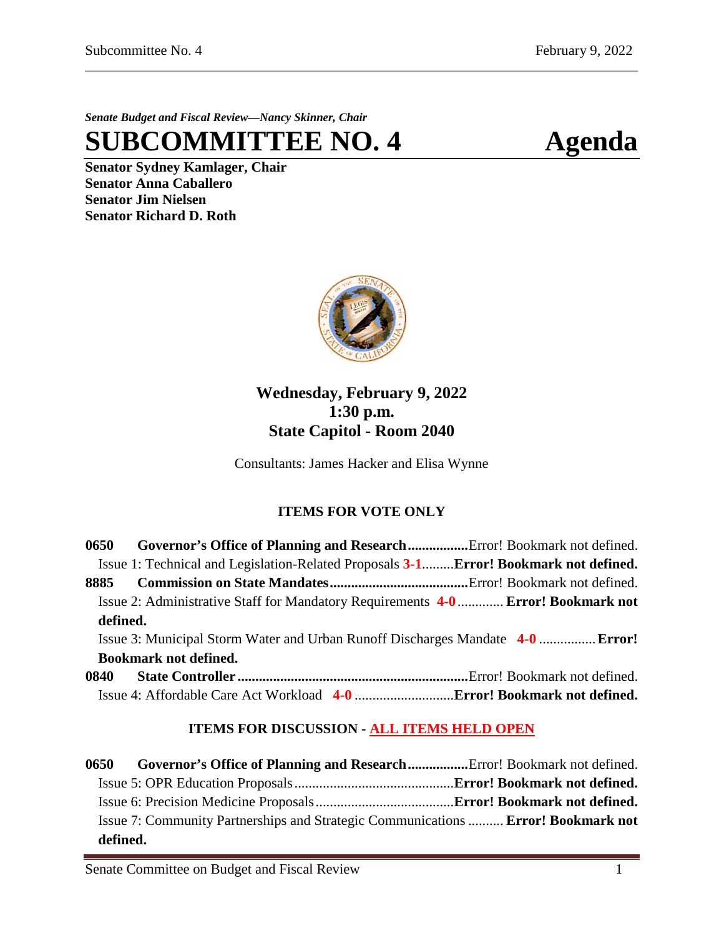*Senate Budget and Fiscal Review—Nancy Skinner, Chair*

**SUBCOMMITTEE NO. 4 Agenda**

**Senator Sydney Kamlager, Chair Senator Anna Caballero Senator Jim Nielsen Senator Richard D. Roth** 



## **Wednesday, February 9, 2022 1:30 p.m. State Capitol - Room 2040**

Consultants: James Hacker and Elisa Wynne

## **ITEMS FOR VOTE ONLY**

| 0650                                                                           | Governor's Office of Planning and ResearchError! Bookmark not defined.               |  |  |  |
|--------------------------------------------------------------------------------|--------------------------------------------------------------------------------------|--|--|--|
|                                                                                | Issue 1: Technical and Legislation-Related Proposals 3-1Error! Bookmark not defined. |  |  |  |
|                                                                                |                                                                                      |  |  |  |
|                                                                                | Issue 2: Administrative Staff for Mandatory Requirements 4-0  Error! Bookmark not    |  |  |  |
| defined.                                                                       |                                                                                      |  |  |  |
| Issue 3: Municipal Storm Water and Urban Runoff Discharges Mandate 4-0  Error! |                                                                                      |  |  |  |
| <b>Bookmark not defined.</b>                                                   |                                                                                      |  |  |  |
|                                                                                |                                                                                      |  |  |  |
|                                                                                |                                                                                      |  |  |  |

## **ITEMS FOR DISCUSSION - ALL ITEMS HELD OPEN**

| 0650     | Governor's Office of Planning and ResearchError! Bookmark not defined.            |  |
|----------|-----------------------------------------------------------------------------------|--|
|          |                                                                                   |  |
|          |                                                                                   |  |
|          | Issue 7: Community Partnerships and Strategic Communications  Error! Bookmark not |  |
| defined. |                                                                                   |  |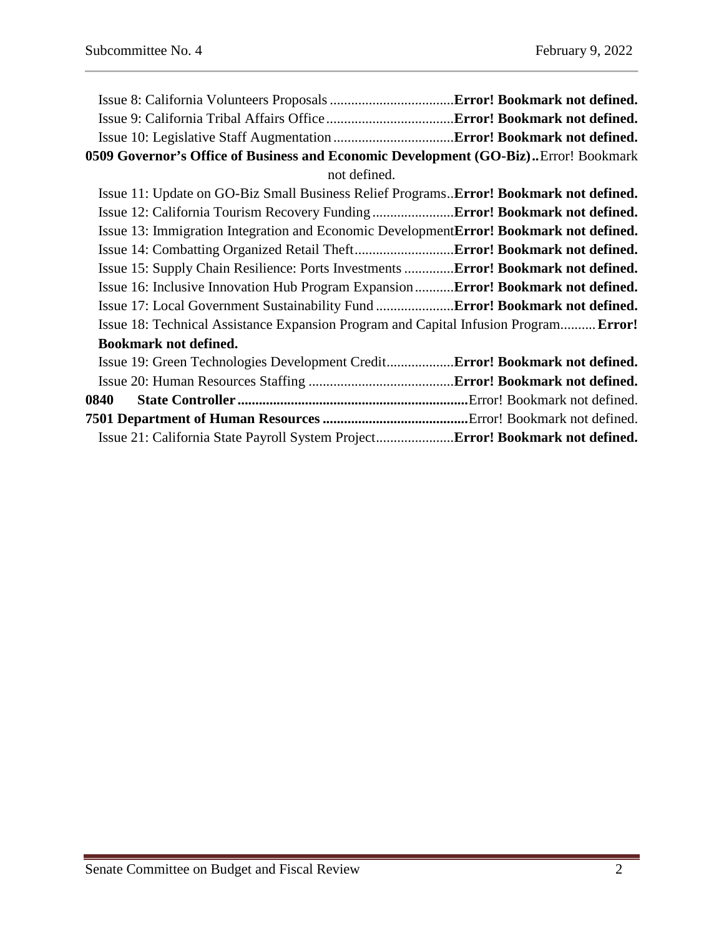| 0509 Governor's Office of Business and Economic Development (GO-Biz)Error! Bookmark           |  |  |  |  |
|-----------------------------------------------------------------------------------------------|--|--|--|--|
| not defined.                                                                                  |  |  |  |  |
| Issue 11: Update on GO-Biz Small Business Relief Programs <b>Error! Bookmark not defined.</b> |  |  |  |  |
| Issue 12: California Tourism Recovery Funding  Error! Bookmark not defined.                   |  |  |  |  |
| Issue 13: Immigration Integration and Economic DevelopmentError! Bookmark not defined.        |  |  |  |  |
|                                                                                               |  |  |  |  |
| Issue 15: Supply Chain Resilience: Ports Investments Error! Bookmark not defined.             |  |  |  |  |
| Issue 16: Inclusive Innovation Hub Program ExpansionError! Bookmark not defined.              |  |  |  |  |
| Issue 17: Local Government Sustainability Fund  Error! Bookmark not defined.                  |  |  |  |  |
| Issue 18: Technical Assistance Expansion Program and Capital Infusion Program Error!          |  |  |  |  |
| <b>Bookmark not defined.</b>                                                                  |  |  |  |  |
| Issue 19: Green Technologies Development Credit Error! Bookmark not defined.                  |  |  |  |  |
|                                                                                               |  |  |  |  |
| 0840                                                                                          |  |  |  |  |
|                                                                                               |  |  |  |  |
| Issue 21: California State Payroll System Project Error! Bookmark not defined.                |  |  |  |  |
|                                                                                               |  |  |  |  |